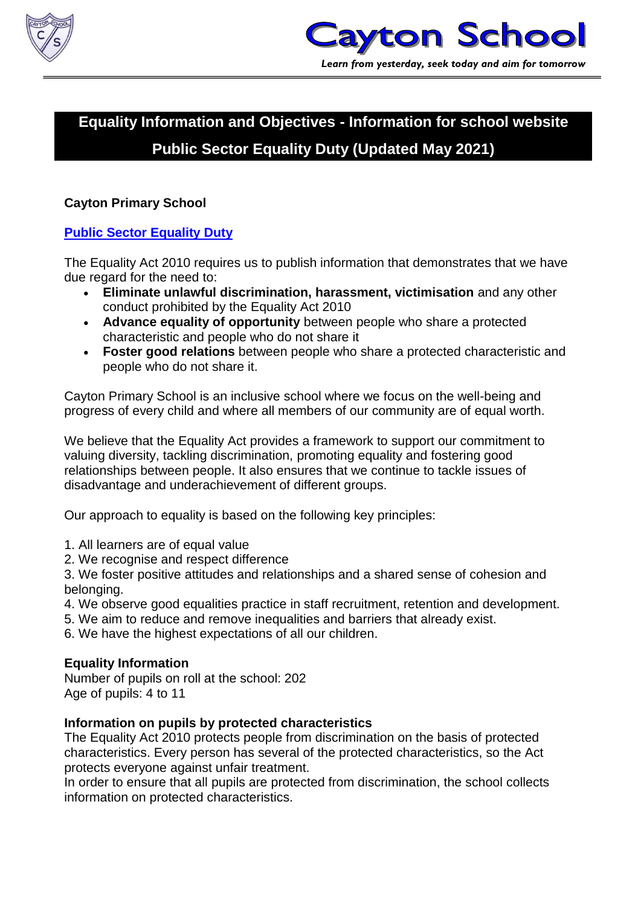



# **Equality Information and Objectives - Information for school website Public Sector Equality Duty (Updated May 2021)**

# **Cayton Primary School**

# **[Public Sector Equality Duty](https://www.gov.uk/government/publications/public-sector-equality-duty)**

The Equality Act 2010 requires us to publish information that demonstrates that we have due regard for the need to:

- **Eliminate unlawful discrimination, harassment, victimisation** and any other conduct prohibited by the Equality Act 2010
- **Advance equality of opportunity** between people who share a protected characteristic and people who do not share it
- **Foster good relations** between people who share a protected characteristic and people who do not share it.

Cayton Primary School is an inclusive school where we focus on the well-being and progress of every child and where all members of our community are of equal worth.

We believe that the Equality Act provides a framework to support our commitment to valuing diversity, tackling discrimination, promoting equality and fostering good relationships between people. It also ensures that we continue to tackle issues of disadvantage and underachievement of different groups.

Our approach to equality is based on the following key principles:

- 1. All learners are of equal value
- 2. We recognise and respect difference

3. We foster positive attitudes and relationships and a shared sense of cohesion and belonging.

- 4. We observe good equalities practice in staff recruitment, retention and development.
- 5. We aim to reduce and remove inequalities and barriers that already exist.
- 6. We have the highest expectations of all our children.

# **Equality Information**

Number of pupils on roll at the school: 202 Age of pupils: 4 to 11

# **Information on pupils by protected characteristics**

The Equality Act 2010 protects people from discrimination on the basis of protected characteristics. Every person has several of the protected characteristics, so the Act protects everyone against unfair treatment.

In order to ensure that all pupils are protected from discrimination, the school collects information on protected characteristics.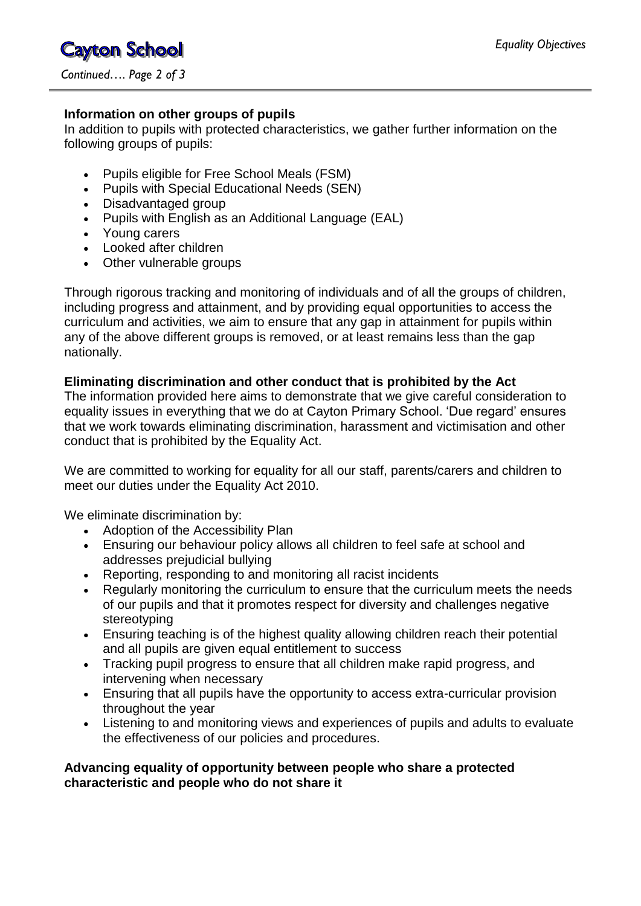**Cayton School** *Continued…. Page 2 of 3*

# **Information on other groups of pupils**

In addition to pupils with protected characteristics, we gather further information on the following groups of pupils:

- Pupils eligible for Free School Meals (FSM)
- Pupils with Special Educational Needs (SEN)
- Disadvantaged group
- Pupils with English as an Additional Language (EAL)
- Young carers
- Looked after children
- Other vulnerable groups

Through rigorous tracking and monitoring of individuals and of all the groups of children, including progress and attainment, and by providing equal opportunities to access the curriculum and activities, we aim to ensure that any gap in attainment for pupils within any of the above different groups is removed, or at least remains less than the gap nationally.

# **Eliminating discrimination and other conduct that is prohibited by the Act**

The information provided here aims to demonstrate that we give careful consideration to equality issues in everything that we do at Cayton Primary School. 'Due regard' ensures that we work towards eliminating discrimination, harassment and victimisation and other conduct that is prohibited by the Equality Act.

We are committed to working for equality for all our staff, parents/carers and children to meet our duties under the Equality Act 2010.

We eliminate discrimination by:

- Adoption of the Accessibility Plan
- Ensuring our behaviour policy allows all children to feel safe at school and addresses prejudicial bullying
- Reporting, responding to and monitoring all racist incidents
- Regularly monitoring the curriculum to ensure that the curriculum meets the needs of our pupils and that it promotes respect for diversity and challenges negative stereotyping
- Ensuring teaching is of the highest quality allowing children reach their potential and all pupils are given equal entitlement to success
- Tracking pupil progress to ensure that all children make rapid progress, and intervening when necessary
- Ensuring that all pupils have the opportunity to access extra-curricular provision throughout the year
- Listening to and monitoring views and experiences of pupils and adults to evaluate the effectiveness of our policies and procedures.

# **Advancing equality of opportunity between people who share a protected characteristic and people who do not share it**